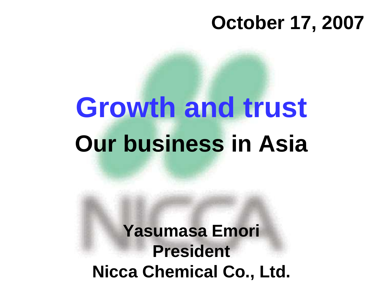#### **October 17, 2007**

# **Growth and trust Our business in Asia**

**Yasumasa Emori PresidentNicca Chemical Co., Ltd.**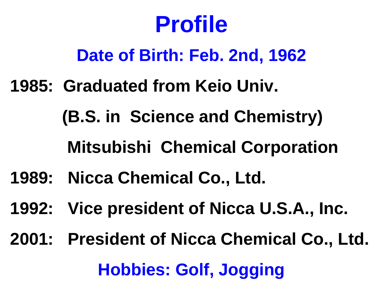#### **Profile**

#### **Date of Birth: Feb. 2nd, 1962**

**1985: Graduated from Keio Univ.** 

**(B.S. in Science and Chemistry)**

#### **Mitsubishi Chemical Corporation**

- **1989: Nicca Chemical Co., Ltd.**
- **1992: Vice president of Nicca U.S.A., Inc.**
- **2001: President of Nicca Chemical Co., Ltd. Hobbies: Golf, Jogging**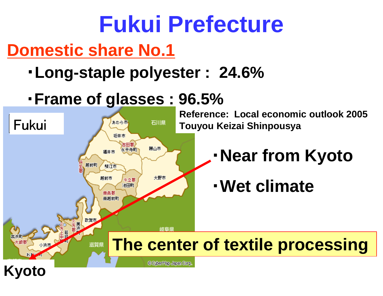#### **Fukui PrefectureDomestic share No.1**

- ・**Long-staple polyester : 24.6%**
- ・**Frame of glasses : 96.5%**

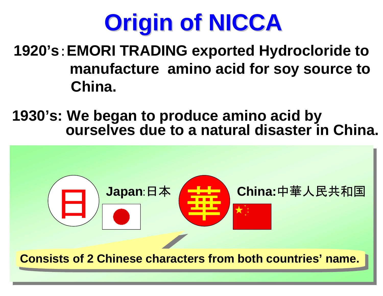

 **1920's**:**EMORI TRADING exported Hydrocloride to manufacture amino acid for soy source to China.** 

**1930's: We began to produce amino acid by ourselves due to a natural disaster in China.**

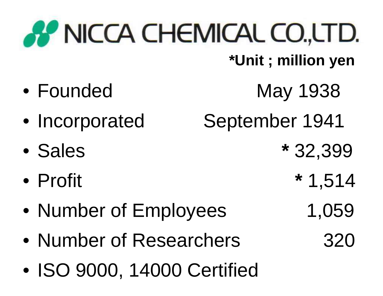# **AP NICCA CHEMICAL CO.LTD.**

**\*Unit ; million yen**

- Founded
- Incorporated
- •Sales
- $\bullet$ Profit
- •Number of Employees 1,059
- •Number of Researchers 320
- $\bullet$ ISO 9000, 14000 Certified
- May 1938 September 1941 **\*** 32,399**\*** 1,514
	-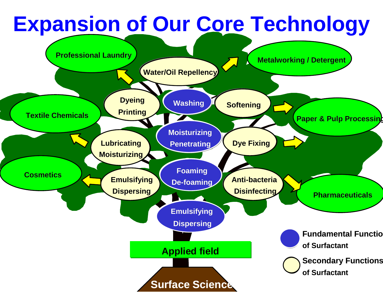#### **Expansion of Our Core TechnologyWater/Oil RepellencyProfessional LaundryMetalworking / Detergent**

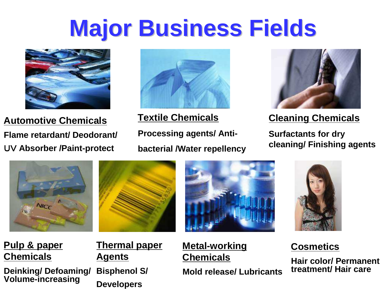#### **Major Business Fields**



**Automotive ChemicalsFlame retardant/ Deodorant/**UV **Absorber /Paint-protect**



**Textile ChemicalsProcessing agents/ Antibacterial /Water repellency**



**Cleaning Chemicals**

**Surfactants for dry cleaning/ Finishing agents**









**Pulp & paper Chemicals**

**Deinking/ Defoaming/ Volume-increasing**

**Thermal paper Agents**

**Bisphenol S/ Developers**

#### **Metal-working Chemicals**

**Mold release/ Lubricants**

#### **Cosmetics**

**Hair color/ Permanent treatment/ Hair care**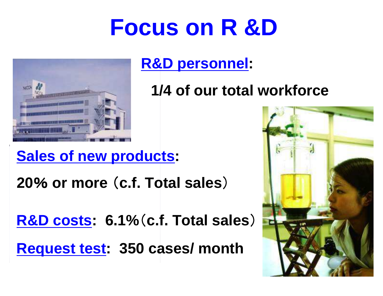#### **Focus on R &D**



**R&D personnel:**

**1/4 of our total workforce**

#### **Sales of new products:**

**20**% **or more** (**c.f. Total sales**)

**R&D costs: 6.1%**(**c.f. Total sales**)

**Request test: 350 cases/ month**

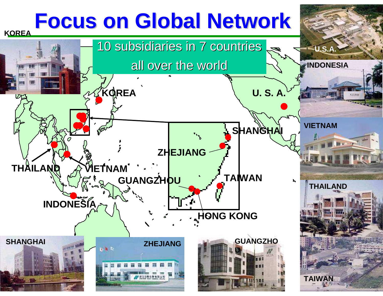#### **Focus on Global Network**

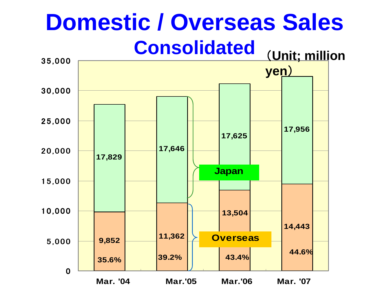#### (**Unit; million Domestic / Overseas SalesConsolidated**

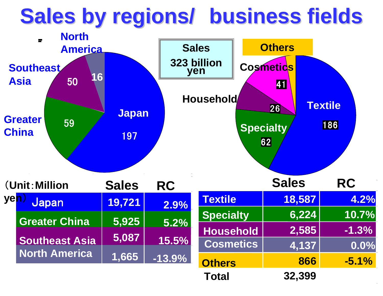#### **Sales by regions/ business fields**

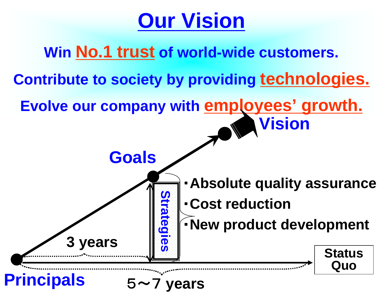#### **Our Vision**

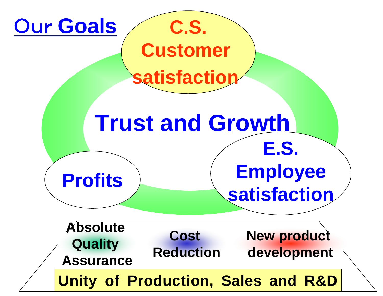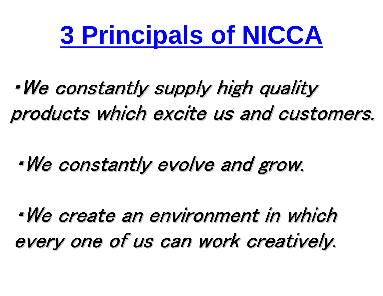# **3 Principals of NICCA**

#### ・We constantly supply high quality products which excite us and customers.

#### ・We constantly evolve and grow.

・We create an environment in which every one of us can work creatively.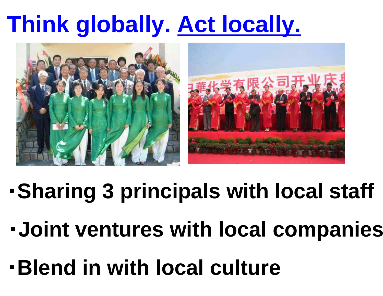### **Think globally. Act locally.**



- ・**Sharing 3 principals with local staff**
- ・**Joint ventures with local companies**
- ・**Blend in with local culture**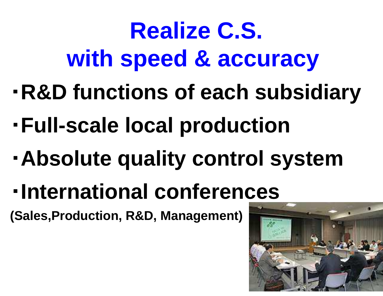### **Realize C.S. with speed & accuracy**

- ・**R&D functions of each subsidiary**
- ・**Full-scale local production**
- ・**Absolute quality control system**
- ・**International conferences**

**(Sales,Production, R&D, Management)**

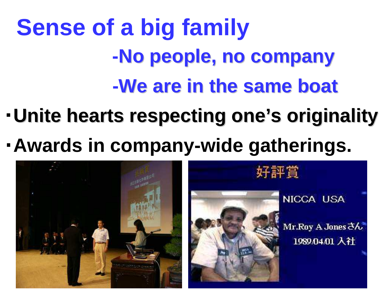# **Sense of a big family -No people, no company-We are in the same boat**

- ・**Unite hearts respecting one's originality**
- ・**Awards in company-wide gatherings.**



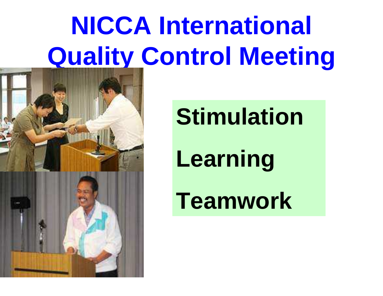# **NICCA International Quality Control Meeting**





**Stimulation**

# **Learning**

**Teamwork**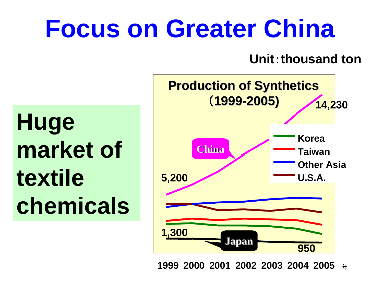# **Focus on Greater China**

**Unit**:**thousand ton**

**Huge market of textile chemicals**



**1999 2000 2001 2002 2003 2004 2005**年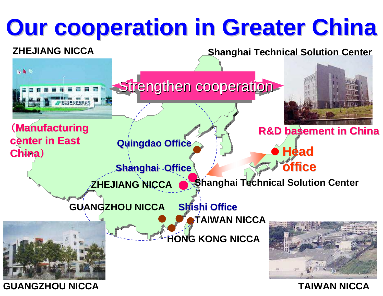# **Our cooperation in Greater China**

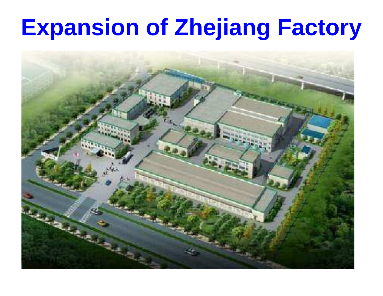#### **Expansion of Zhejiang Factory**

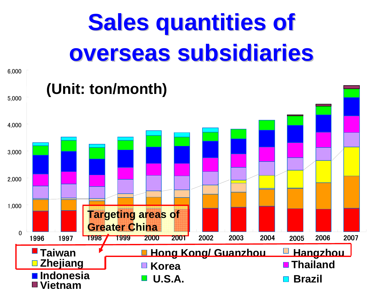